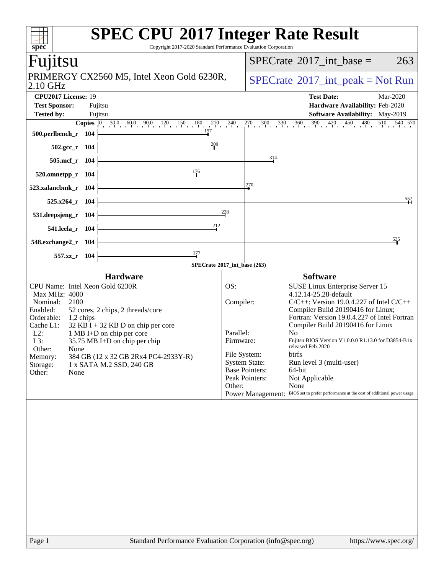| Copyright 2017-2020 Standard Performance Evaluation Corporation<br>spec <sup>®</sup>                                                                                                                                                                                                                                                                                                                                  | <b>SPEC CPU®2017 Integer Rate Result</b>                                                                                                                                                                                                                                                                                                                                                                                                                                                                                                                                                                                                                     |
|-----------------------------------------------------------------------------------------------------------------------------------------------------------------------------------------------------------------------------------------------------------------------------------------------------------------------------------------------------------------------------------------------------------------------|--------------------------------------------------------------------------------------------------------------------------------------------------------------------------------------------------------------------------------------------------------------------------------------------------------------------------------------------------------------------------------------------------------------------------------------------------------------------------------------------------------------------------------------------------------------------------------------------------------------------------------------------------------------|
| Fujitsu                                                                                                                                                                                                                                                                                                                                                                                                               | $SPECrate^{\circledast}2017\_int\_base =$<br>263                                                                                                                                                                                                                                                                                                                                                                                                                                                                                                                                                                                                             |
| PRIMERGY CX2560 M5, Intel Xeon Gold 6230R,<br>2.10 GHz                                                                                                                                                                                                                                                                                                                                                                | $SPECrate^{\circledcirc}2017\_int\_peak = Not Run$                                                                                                                                                                                                                                                                                                                                                                                                                                                                                                                                                                                                           |
| CPU2017 License: 19                                                                                                                                                                                                                                                                                                                                                                                                   | <b>Test Date:</b><br>Mar-2020                                                                                                                                                                                                                                                                                                                                                                                                                                                                                                                                                                                                                                |
| <b>Test Sponsor:</b><br>Fujitsu                                                                                                                                                                                                                                                                                                                                                                                       | Hardware Availability: Feb-2020                                                                                                                                                                                                                                                                                                                                                                                                                                                                                                                                                                                                                              |
| <b>Tested by:</b><br>Fujitsu                                                                                                                                                                                                                                                                                                                                                                                          | Software Availability: May-2019<br><b>Copies</b> $\begin{bmatrix} 0 & 30.0 & 60.0 & 90.0 & 120 & 150 & 180 & 210 & 240 & 270 & 300 & 330 & 360 & 390 & 420 & 450 & 480 & 510 & 540 & 570 \end{bmatrix}$                                                                                                                                                                                                                                                                                                                                                                                                                                                      |
| 197<br>500.perlbench_r 104                                                                                                                                                                                                                                                                                                                                                                                            |                                                                                                                                                                                                                                                                                                                                                                                                                                                                                                                                                                                                                                                              |
| $\frac{209}{2}$<br>502.gcc_r 104                                                                                                                                                                                                                                                                                                                                                                                      |                                                                                                                                                                                                                                                                                                                                                                                                                                                                                                                                                                                                                                                              |
| 505.mcf_r 104                                                                                                                                                                                                                                                                                                                                                                                                         | 314                                                                                                                                                                                                                                                                                                                                                                                                                                                                                                                                                                                                                                                          |
| 176<br>$520.0$ mnetpp_r 104                                                                                                                                                                                                                                                                                                                                                                                           |                                                                                                                                                                                                                                                                                                                                                                                                                                                                                                                                                                                                                                                              |
| 523.xalancbmk_r 104                                                                                                                                                                                                                                                                                                                                                                                                   | 270                                                                                                                                                                                                                                                                                                                                                                                                                                                                                                                                                                                                                                                          |
| 525.x264 r 104                                                                                                                                                                                                                                                                                                                                                                                                        | 557                                                                                                                                                                                                                                                                                                                                                                                                                                                                                                                                                                                                                                                          |
| 531.deepsjeng_r 104                                                                                                                                                                                                                                                                                                                                                                                                   | 228                                                                                                                                                                                                                                                                                                                                                                                                                                                                                                                                                                                                                                                          |
| 212<br>541.leela_r 104                                                                                                                                                                                                                                                                                                                                                                                                |                                                                                                                                                                                                                                                                                                                                                                                                                                                                                                                                                                                                                                                              |
| 548.exchange2_r 104                                                                                                                                                                                                                                                                                                                                                                                                   | <u>535</u>                                                                                                                                                                                                                                                                                                                                                                                                                                                                                                                                                                                                                                                   |
| $\frac{177}{2}$<br>557.xz_r 104                                                                                                                                                                                                                                                                                                                                                                                       |                                                                                                                                                                                                                                                                                                                                                                                                                                                                                                                                                                                                                                                              |
|                                                                                                                                                                                                                                                                                                                                                                                                                       | - SPECrate®2017_int_base (263)                                                                                                                                                                                                                                                                                                                                                                                                                                                                                                                                                                                                                               |
| <b>Hardware</b>                                                                                                                                                                                                                                                                                                                                                                                                       | <b>Software</b>                                                                                                                                                                                                                                                                                                                                                                                                                                                                                                                                                                                                                                              |
| CPU Name: Intel Xeon Gold 6230R<br>Max MHz: 4000<br>Nominal:<br>2100<br>Enabled:<br>52 cores, 2 chips, 2 threads/core<br>Orderable:<br>$1,2$ chips<br>$32$ KB I + 32 KB D on chip per core<br>Cache L1:<br>$L2$ :<br>1 MB I+D on chip per core<br>L3:<br>35.75 MB I+D on chip per chip<br>Other:<br>None<br>384 GB (12 x 32 GB 2Rx4 PC4-2933Y-R)<br>Memory:<br>1 x SATA M.2 SSD, 240 GB<br>Storage:<br>Other:<br>None | OS:<br><b>SUSE Linux Enterprise Server 15</b><br>4.12.14-25.28-default<br>Compiler:<br>$C/C++$ : Version 19.0.4.227 of Intel $C/C++$<br>Compiler Build 20190416 for Linux;<br>Fortran: Version 19.0.4.227 of Intel Fortran<br>Compiler Build 20190416 for Linux<br>Parallel:<br>No<br>Fujitsu BIOS Version V1.0.0.0 R1.13.0 for D3854-B1x<br>Firmware:<br>released Feb-2020<br>File System:<br><b>btrfs</b><br><b>System State:</b><br>Run level 3 (multi-user)<br><b>Base Pointers:</b><br>64-bit<br>Peak Pointers:<br>Not Applicable<br>None<br>Other:<br>BIOS set to prefer performance at the cost of additional power usage<br><b>Power Management:</b> |
|                                                                                                                                                                                                                                                                                                                                                                                                                       |                                                                                                                                                                                                                                                                                                                                                                                                                                                                                                                                                                                                                                                              |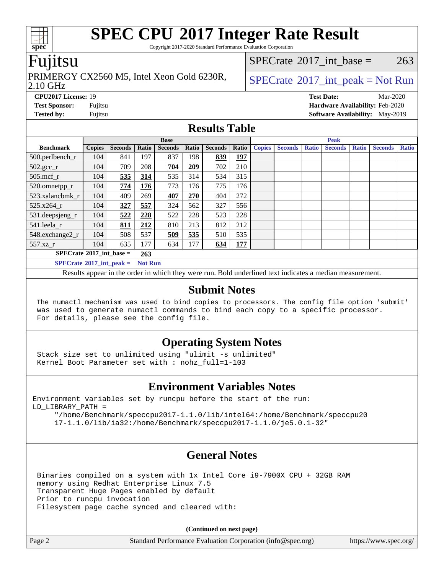Copyright 2017-2020 Standard Performance Evaluation Corporation

### Fujitsu

## PRIMERGY CX2560 M5, Intel Xeon Gold 6230R,  $\big|$  [SPECrate](http://www.spec.org/auto/cpu2017/Docs/result-fields.html#SPECrate2017intpeak) <sup>® 2017</sup>\_int\_peak = Not Run

[SPECrate](http://www.spec.org/auto/cpu2017/Docs/result-fields.html#SPECrate2017intbase)<sup>®</sup>2017 int base = 263

#### 2.10 GHz

**[Tested by:](http://www.spec.org/auto/cpu2017/Docs/result-fields.html#Testedby)** Fujitsu **Fujitsu <b>[Software Availability:](http://www.spec.org/auto/cpu2017/Docs/result-fields.html#SoftwareAvailability)** May-2019

**[CPU2017 License:](http://www.spec.org/auto/cpu2017/Docs/result-fields.html#CPU2017License)** 19 **[Test Date:](http://www.spec.org/auto/cpu2017/Docs/result-fields.html#TestDate)** Mar-2020 **[Test Sponsor:](http://www.spec.org/auto/cpu2017/Docs/result-fields.html#TestSponsor)** Fujitsu **[Hardware Availability:](http://www.spec.org/auto/cpu2017/Docs/result-fields.html#HardwareAvailability)** Feb-2020

#### **[Results Table](http://www.spec.org/auto/cpu2017/Docs/result-fields.html#ResultsTable)**

| <b>Base</b>                                         |               |                |       |                | <b>Peak</b> |                |            |               |                |              |                |              |                |              |
|-----------------------------------------------------|---------------|----------------|-------|----------------|-------------|----------------|------------|---------------|----------------|--------------|----------------|--------------|----------------|--------------|
| <b>Benchmark</b>                                    | <b>Copies</b> | <b>Seconds</b> | Ratio | <b>Seconds</b> | Ratio       | <b>Seconds</b> | Ratio      | <b>Copies</b> | <b>Seconds</b> | <b>Ratio</b> | <b>Seconds</b> | <b>Ratio</b> | <b>Seconds</b> | <b>Ratio</b> |
| 500.perlbench_r                                     | 104           | 841            | 197   | 837            | 198         | 839            | <b>197</b> |               |                |              |                |              |                |              |
| $502.\text{gcc\_r}$                                 | 104           | 709            | 208   | 704            | 209         | 702            | 210        |               |                |              |                |              |                |              |
| $505$ .mcf r                                        | 104           | 535            | 314   | 535            | 314         | 534            | 315        |               |                |              |                |              |                |              |
| 520.omnetpp_r                                       | 104           | 774            | 176   | 773            | 176         | 775            | 176        |               |                |              |                |              |                |              |
| 523.xalancbmk r                                     | 104           | 409            | 269   | 407            | 270         | 404            | 272        |               |                |              |                |              |                |              |
| 525.x264 r                                          | 104           | 327            | 557   | 324            | 562         | 327            | 556        |               |                |              |                |              |                |              |
| 531.deepsjeng_r                                     | 104           | 522            | 228   | 522            | 228         | 523            | 228        |               |                |              |                |              |                |              |
| 541.leela r                                         | 104           | 811            | 212   | 810            | 213         | 812            | 212        |               |                |              |                |              |                |              |
| 548.exchange2_r                                     | 104           | 508            | 537   | 509            | 535         | 510            | 535        |               |                |              |                |              |                |              |
| 557.xz r                                            | 104           | 635            | 177   | 634            | 177         | 634            | 177        |               |                |              |                |              |                |              |
| $SPECrate^{\circ}2017$ int base =<br>263            |               |                |       |                |             |                |            |               |                |              |                |              |                |              |
| $SPECrate^{\circ}2017$ int peak =<br><b>Not Run</b> |               |                |       |                |             |                |            |               |                |              |                |              |                |              |

Results appear in the [order in which they were run](http://www.spec.org/auto/cpu2017/Docs/result-fields.html#RunOrder). Bold underlined text [indicates a median measurement](http://www.spec.org/auto/cpu2017/Docs/result-fields.html#Median).

#### **[Submit Notes](http://www.spec.org/auto/cpu2017/Docs/result-fields.html#SubmitNotes)**

 The numactl mechanism was used to bind copies to processors. The config file option 'submit' was used to generate numactl commands to bind each copy to a specific processor. For details, please see the config file.

#### **[Operating System Notes](http://www.spec.org/auto/cpu2017/Docs/result-fields.html#OperatingSystemNotes)**

 Stack size set to unlimited using "ulimit -s unlimited" Kernel Boot Parameter set with : nohz\_full=1-103

#### **[Environment Variables Notes](http://www.spec.org/auto/cpu2017/Docs/result-fields.html#EnvironmentVariablesNotes)**

Environment variables set by runcpu before the start of the run: LD\_LIBRARY\_PATH =

 "/home/Benchmark/speccpu2017-1.1.0/lib/intel64:/home/Benchmark/speccpu20 17-1.1.0/lib/ia32:/home/Benchmark/speccpu2017-1.1.0/je5.0.1-32"

### **[General Notes](http://www.spec.org/auto/cpu2017/Docs/result-fields.html#GeneralNotes)**

 Binaries compiled on a system with 1x Intel Core i9-7900X CPU + 32GB RAM memory using Redhat Enterprise Linux 7.5 Transparent Huge Pages enabled by default Prior to runcpu invocation Filesystem page cache synced and cleared with:

**(Continued on next page)**

Page 2 Standard Performance Evaluation Corporation [\(info@spec.org\)](mailto:info@spec.org) <https://www.spec.org/>

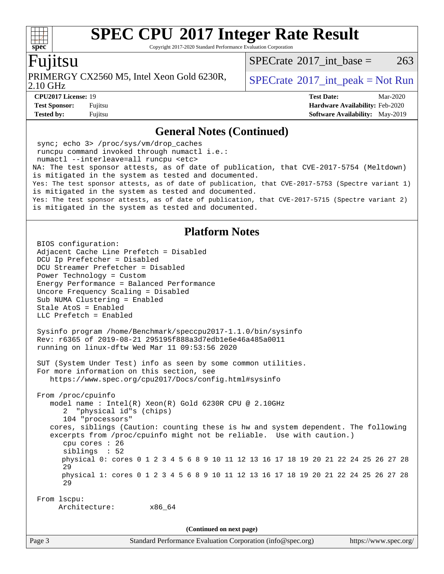Copyright 2017-2020 Standard Performance Evaluation Corporation

#### Fujitsu

**[spec](http://www.spec.org/)**

 $+\ +$ 

PRIMERGY CX2560 M5, Intel Xeon Gold 6230R,  $\big|$  [SPECrate](http://www.spec.org/auto/cpu2017/Docs/result-fields.html#SPECrate2017intpeak) <sup>® 2017</sup>\_int\_peak = Not Run

[SPECrate](http://www.spec.org/auto/cpu2017/Docs/result-fields.html#SPECrate2017intbase)<sup>®</sup>2017 int base = 263

2.10 GHz

**[Tested by:](http://www.spec.org/auto/cpu2017/Docs/result-fields.html#Testedby)** Fujitsu **Fujitsu <b>[Software Availability:](http://www.spec.org/auto/cpu2017/Docs/result-fields.html#SoftwareAvailability)** May-2019

**[CPU2017 License:](http://www.spec.org/auto/cpu2017/Docs/result-fields.html#CPU2017License)** 19 **[Test Date:](http://www.spec.org/auto/cpu2017/Docs/result-fields.html#TestDate)** Mar-2020 **[Test Sponsor:](http://www.spec.org/auto/cpu2017/Docs/result-fields.html#TestSponsor)** Fujitsu **[Hardware Availability:](http://www.spec.org/auto/cpu2017/Docs/result-fields.html#HardwareAvailability)** Feb-2020

#### **[General Notes \(Continued\)](http://www.spec.org/auto/cpu2017/Docs/result-fields.html#GeneralNotes)**

 sync; echo 3> /proc/sys/vm/drop\_caches runcpu command invoked through numactl i.e.: numactl --interleave=all runcpu <etc> NA: The test sponsor attests, as of date of publication, that CVE-2017-5754 (Meltdown) is mitigated in the system as tested and documented. Yes: The test sponsor attests, as of date of publication, that CVE-2017-5753 (Spectre variant 1) is mitigated in the system as tested and documented. Yes: The test sponsor attests, as of date of publication, that CVE-2017-5715 (Spectre variant 2) is mitigated in the system as tested and documented.

#### **[Platform Notes](http://www.spec.org/auto/cpu2017/Docs/result-fields.html#PlatformNotes)**

Page 3 Standard Performance Evaluation Corporation [\(info@spec.org\)](mailto:info@spec.org) <https://www.spec.org/> BIOS configuration: Adjacent Cache Line Prefetch = Disabled DCU Ip Prefetcher = Disabled DCU Streamer Prefetcher = Disabled Power Technology = Custom Energy Performance = Balanced Performance Uncore Frequency Scaling = Disabled Sub NUMA Clustering = Enabled Stale AtoS = Enabled LLC Prefetch = Enabled Sysinfo program /home/Benchmark/speccpu2017-1.1.0/bin/sysinfo Rev: r6365 of 2019-08-21 295195f888a3d7edb1e6e46a485a0011 running on linux-dftw Wed Mar 11 09:53:56 2020 SUT (System Under Test) info as seen by some common utilities. For more information on this section, see <https://www.spec.org/cpu2017/Docs/config.html#sysinfo> From /proc/cpuinfo model name : Intel(R) Xeon(R) Gold 6230R CPU @ 2.10GHz 2 "physical id"s (chips) 104 "processors" cores, siblings (Caution: counting these is hw and system dependent. The following excerpts from /proc/cpuinfo might not be reliable. Use with caution.) cpu cores : 26 siblings : 52 physical 0: cores 0 1 2 3 4 5 6 8 9 10 11 12 13 16 17 18 19 20 21 22 24 25 26 27 28 29 physical 1: cores 0 1 2 3 4 5 6 8 9 10 11 12 13 16 17 18 19 20 21 22 24 25 26 27 28 29 From lscpu: Architecture: x86\_64 **(Continued on next page)**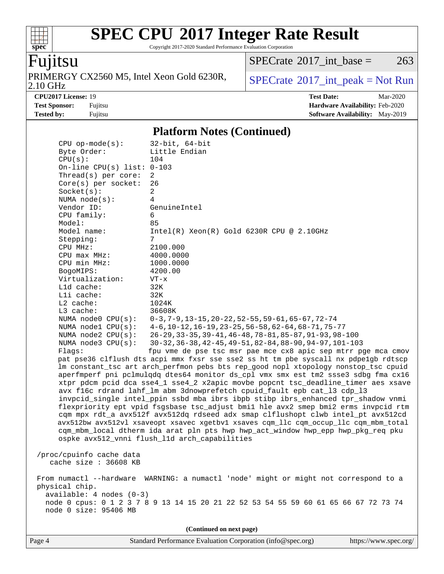Copyright 2017-2020 Standard Performance Evaluation Corporation

# Fujitsu

**[spec](http://www.spec.org/)**

 $+\!\!+\!\!$ 

PRIMERGY CX2560 M5, Intel Xeon Gold 6230R,<br>2.10 GHz

 $SPECTate@2017_int\_base = 263$ 

 $SPECTate<sup>®</sup>2017_int_p [peak = Not Run]$ 

**[CPU2017 License:](http://www.spec.org/auto/cpu2017/Docs/result-fields.html#CPU2017License)** 19 **[Test Date:](http://www.spec.org/auto/cpu2017/Docs/result-fields.html#TestDate)** Mar-2020 **[Test Sponsor:](http://www.spec.org/auto/cpu2017/Docs/result-fields.html#TestSponsor)** Fujitsu **[Hardware Availability:](http://www.spec.org/auto/cpu2017/Docs/result-fields.html#HardwareAvailability)** Feb-2020 **[Tested by:](http://www.spec.org/auto/cpu2017/Docs/result-fields.html#Testedby)** Fujitsu **Fugital [Software Availability:](http://www.spec.org/auto/cpu2017/Docs/result-fields.html#SoftwareAvailability)** May-2019

#### **[Platform Notes \(Continued\)](http://www.spec.org/auto/cpu2017/Docs/result-fields.html#PlatformNotes)**

| $CPU$ op-mode( $s$ ):<br>Byte Order:<br>CPU(s): | $32$ -bit, $64$ -bit<br>Little Endian<br>104                                         |
|-------------------------------------------------|--------------------------------------------------------------------------------------|
| On-line CPU(s) list: $0-103$                    |                                                                                      |
| Thread(s) per core:                             | 2                                                                                    |
| $Core(s)$ per socket:                           | 26                                                                                   |
| Socket(s):                                      | 2                                                                                    |
| NUMA $node(s):$                                 | 4                                                                                    |
| Vendor ID:                                      | GenuineIntel                                                                         |
| CPU family:                                     | 6                                                                                    |
| Model:                                          | 85                                                                                   |
| Model name:                                     | $Intel(R) Xeon(R) Gold 6230R CPU @ 2.10GHz$                                          |
| Stepping:<br>CPU MHz:                           | 7<br>2100.000                                                                        |
| CPU max MHz:                                    | 4000.0000                                                                            |
| CPU min MHz:                                    | 1000.0000                                                                            |
| BogoMIPS:                                       | 4200.00                                                                              |
| Virtualization:                                 | $VT - x$                                                                             |
| L1d cache:                                      | 32K                                                                                  |
| Lli cache:                                      | 32K                                                                                  |
| $L2$ cache:                                     | 1024K                                                                                |
| L3 cache:                                       | 36608K                                                                               |
| NUMA node0 CPU(s):                              | $0-3, 7-9, 13-15, 20-22, 52-55, 59-61, 65-67, 72-74$                                 |
| NUMA nodel CPU(s):                              | $4-6$ , 10-12, 16-19, 23-25, 56-58, 62-64, 68-71, 75-77                              |
| NUMA $node2$ $CPU(s):$                          | $26 - 29, 33 - 35, 39 - 41, 46 - 48, 78 - 81, 85 - 87, 91 - 93, 98 - 100$            |
| NUMA $node3$ CPU $(s)$ :                        | 30-32, 36-38, 42-45, 49-51, 82-84, 88-90, 94-97, 101-103                             |
| Flags:                                          | fpu vme de pse tsc msr pae mce cx8 apic sep mtrr pge mca cmov                        |
|                                                 | pat pse36 clflush dts acpi mmx fxsr sse sse2 ss ht tm pbe syscall nx pdpelgb rdtscp  |
|                                                 | lm constant_tsc art arch_perfmon pebs bts rep_good nopl xtopology nonstop_tsc cpuid  |
|                                                 | aperfmperf pni pclmulqdq dtes64 monitor ds_cpl vmx smx est tm2 ssse3 sdbg fma cx16   |
|                                                 | xtpr pdcm pcid dca sse4_1 sse4_2 x2apic movbe popcnt tsc_deadline_timer aes xsave    |
|                                                 | avx f16c rdrand lahf_lm abm 3dnowprefetch cpuid_fault epb cat_13 cdp_13              |
|                                                 | invpcid_single intel_ppin ssbd mba ibrs ibpb stibp ibrs_enhanced tpr_shadow vnmi     |
|                                                 | flexpriority ept vpid fsgsbase tsc_adjust bmil hle avx2 smep bmi2 erms invpcid rtm   |
|                                                 | cqm mpx rdt_a avx512f avx512dq rdseed adx smap clflushopt clwb intel_pt avx512cd     |
|                                                 | avx512bw avx512vl xsaveopt xsavec xgetbvl xsaves cqm_llc cqm_occup_llc cqm_mbm_total |
|                                                 | cqm_mbm_local dtherm ida arat pln pts hwp hwp_act_window hwp_epp hwp_pkg_req pku     |
|                                                 | ospke avx512_vnni flush_l1d arch_capabilities                                        |
| /proc/cpuinfo cache data                        |                                                                                      |
| cache size : 36608 KB                           |                                                                                      |
|                                                 |                                                                                      |
|                                                 | From numactl --hardware WARNING: a numactl 'node' might or might not correspond to a |
| physical chip.                                  |                                                                                      |
| $available: 4 nodes (0-3)$                      |                                                                                      |
|                                                 | node 0 cpus: 0 1 2 3 7 8 9 13 14 15 20 21 22 52 53 54 55 59 60 61 65 66 67 72 73 74  |
| node 0 size: 95406 MB                           |                                                                                      |
|                                                 |                                                                                      |
|                                                 |                                                                                      |

**(Continued on next page)**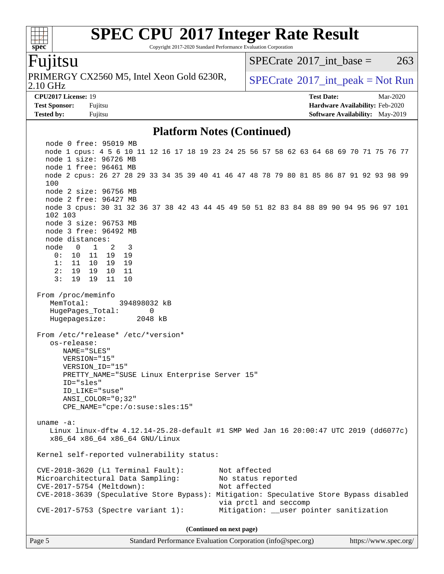Copyright 2017-2020 Standard Performance Evaluation Corporation

#### Fujitsu

**[spec](http://www.spec.org/)**

 $+\ +$ 

2.10 GHz PRIMERGY CX2560 M5, Intel Xeon Gold 6230R,  $\big|$  [SPECrate](http://www.spec.org/auto/cpu2017/Docs/result-fields.html#SPECrate2017intpeak) <sup>® 2017</sup>\_int\_peak = Not Run

[SPECrate](http://www.spec.org/auto/cpu2017/Docs/result-fields.html#SPECrate2017intbase)<sup>®</sup>2017 int base = 263

**[Tested by:](http://www.spec.org/auto/cpu2017/Docs/result-fields.html#Testedby)** Fujitsu **Fugital [Software Availability:](http://www.spec.org/auto/cpu2017/Docs/result-fields.html#SoftwareAvailability)** May-2019

**[CPU2017 License:](http://www.spec.org/auto/cpu2017/Docs/result-fields.html#CPU2017License)** 19 **[Test Date:](http://www.spec.org/auto/cpu2017/Docs/result-fields.html#TestDate)** Mar-2020 **[Test Sponsor:](http://www.spec.org/auto/cpu2017/Docs/result-fields.html#TestSponsor)** Fujitsu **[Hardware Availability:](http://www.spec.org/auto/cpu2017/Docs/result-fields.html#HardwareAvailability)** Feb-2020

#### **[Platform Notes \(Continued\)](http://www.spec.org/auto/cpu2017/Docs/result-fields.html#PlatformNotes)**

 node 0 free: 95019 MB node 1 cpus: 4 5 6 10 11 12 16 17 18 19 23 24 25 56 57 58 62 63 64 68 69 70 71 75 76 77 node 1 size: 96726 MB node 1 free: 96461 MB node 2 cpus: 26 27 28 29 33 34 35 39 40 41 46 47 48 78 79 80 81 85 86 87 91 92 93 98 99 100 node 2 size: 96756 MB node 2 free: 96427 MB node 3 cpus: 30 31 32 36 37 38 42 43 44 45 49 50 51 82 83 84 88 89 90 94 95 96 97 101 102 103 node 3 size: 96753 MB node 3 free: 96492 MB node distances: node 0 1 2 3 0: 10 11 19 19 1: 11 10 19 19 2: 19 19 10 11 3: 19 19 11 10 From /proc/meminfo MemTotal: 394898032 kB HugePages\_Total: 0 Hugepagesize: 2048 kB From /etc/\*release\* /etc/\*version\* os-release: NAME="SLES" VERSION="15" VERSION\_ID="15" PRETTY\_NAME="SUSE Linux Enterprise Server 15" ID="sles" ID\_LIKE="suse" ANSI\_COLOR="0;32" CPE\_NAME="cpe:/o:suse:sles:15" uname -a: Linux linux-dftw 4.12.14-25.28-default #1 SMP Wed Jan 16 20:00:47 UTC 2019 (dd6077c) x86\_64 x86\_64 x86\_64 GNU/Linux Kernel self-reported vulnerability status: CVE-2018-3620 (L1 Terminal Fault): Not affected Microarchitectural Data Sampling: No status reported CVE-2017-5754 (Meltdown): Not affected CVE-2018-3639 (Speculative Store Bypass): Mitigation: Speculative Store Bypass disabled via prctl and seccomp CVE-2017-5753 (Spectre variant 1): Mitigation: \_\_user pointer sanitization **(Continued on next page)**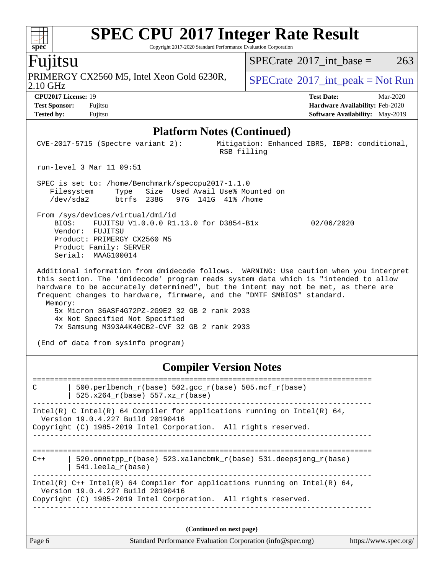Copyright 2017-2020 Standard Performance Evaluation Corporation

### Fujitsu

2.10 GHz PRIMERGY CX2560 M5, Intel Xeon Gold 6230R,  $\big|$  [SPECrate](http://www.spec.org/auto/cpu2017/Docs/result-fields.html#SPECrate2017intpeak) <sup>® 2017</sup>\_int\_peak = Not Run

 $SPECTate$ <sup>®</sup>[2017\\_int\\_base =](http://www.spec.org/auto/cpu2017/Docs/result-fields.html#SPECrate2017intbase) 263

**[CPU2017 License:](http://www.spec.org/auto/cpu2017/Docs/result-fields.html#CPU2017License)** 19 **[Test Date:](http://www.spec.org/auto/cpu2017/Docs/result-fields.html#TestDate)** Mar-2020 **[Test Sponsor:](http://www.spec.org/auto/cpu2017/Docs/result-fields.html#TestSponsor)** Fujitsu **[Hardware Availability:](http://www.spec.org/auto/cpu2017/Docs/result-fields.html#HardwareAvailability)** Feb-2020 **[Tested by:](http://www.spec.org/auto/cpu2017/Docs/result-fields.html#Testedby)** Fujitsu **Fujitsu <b>[Software Availability:](http://www.spec.org/auto/cpu2017/Docs/result-fields.html#SoftwareAvailability)** May-2019

#### **[Platform Notes \(Continued\)](http://www.spec.org/auto/cpu2017/Docs/result-fields.html#PlatformNotes)**

| $CVE-2017-5715$ (Spectre variant 2):                                                                                                                                                                                                                                                                                                                                                                                                                                                          | Mitigation: Enhanced IBRS, IBPB: conditional,<br>RSB filling |  |  |  |  |  |
|-----------------------------------------------------------------------------------------------------------------------------------------------------------------------------------------------------------------------------------------------------------------------------------------------------------------------------------------------------------------------------------------------------------------------------------------------------------------------------------------------|--------------------------------------------------------------|--|--|--|--|--|
| run-level 3 Mar 11 09:51                                                                                                                                                                                                                                                                                                                                                                                                                                                                      |                                                              |  |  |  |  |  |
| SPEC is set to: /home/Benchmark/speccpu2017-1.1.0<br>Type Size Used Avail Use% Mounted on<br>Filesystem<br>/dev/sda2 btrfs 238G 97G 141G 41% /home                                                                                                                                                                                                                                                                                                                                            |                                                              |  |  |  |  |  |
| From /sys/devices/virtual/dmi/id<br>FUJITSU V1.0.0.0 R1.13.0 for D3854-B1x<br>BIOS:<br>Vendor: FUJITSU<br>Product: PRIMERGY CX2560 M5<br>Product Family: SERVER<br>Serial: MAAG100014                                                                                                                                                                                                                                                                                                         | 02/06/2020                                                   |  |  |  |  |  |
| Additional information from dmidecode follows. WARNING: Use caution when you interpret<br>this section. The 'dmidecode' program reads system data which is "intended to allow<br>hardware to be accurately determined", but the intent may not be met, as there are<br>frequent changes to hardware, firmware, and the "DMTF SMBIOS" standard.<br>Memory:<br>5x Micron 36ASF4G72PZ-2G9E2 32 GB 2 rank 2933<br>4x Not Specified Not Specified<br>7x Samsung M393A4K40CB2-CVF 32 GB 2 rank 2933 |                                                              |  |  |  |  |  |
| (End of data from sysinfo program)                                                                                                                                                                                                                                                                                                                                                                                                                                                            |                                                              |  |  |  |  |  |

#### **[Compiler Version Notes](http://www.spec.org/auto/cpu2017/Docs/result-fields.html#CompilerVersionNotes)**

============================================================================== C | 500.perlbench r(base) 502.gcc r(base) 505.mcf r(base) | 525.x264\_r(base) 557.xz\_r(base) ------------------------------------------------------------------------------ Intel(R) C Intel(R) 64 Compiler for applications running on Intel(R)  $64$ , Version 19.0.4.227 Build 20190416 Copyright (C) 1985-2019 Intel Corporation. All rights reserved. ------------------------------------------------------------------------------ ============================================================================== C++ | 520.omnetpp  $r(base)$  523.xalancbmk  $r(base)$  531.deepsjeng  $r(base)$  | 541.leela\_r(base) ------------------------------------------------------------------------------ Intel(R)  $C++$  Intel(R) 64 Compiler for applications running on Intel(R) 64, Version 19.0.4.227 Build 20190416 Copyright (C) 1985-2019 Intel Corporation. All rights reserved. ------------------------------------------------------------------------------ **(Continued on next page)**

|        | $\sim$                                                      |                       |
|--------|-------------------------------------------------------------|-----------------------|
| Page 6 | Standard Performance Evaluation Corporation (info@spec.org) | https://www.spec.org/ |

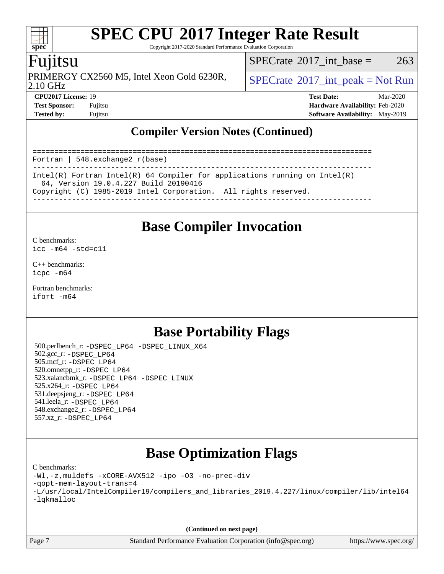Copyright 2017-2020 Standard Performance Evaluation Corporation

### Fujitsu

**[spec](http://www.spec.org/)**

 $+\ +$ 

PRIMERGY CX2560 M5, Intel Xeon Gold 6230R,  $\big|$  [SPECrate](http://www.spec.org/auto/cpu2017/Docs/result-fields.html#SPECrate2017intpeak) <sup>® 2017</sup>\_int\_peak = Not Run

[SPECrate](http://www.spec.org/auto/cpu2017/Docs/result-fields.html#SPECrate2017intbase)<sup>®</sup>2017 int base = 263

2.10 GHz

**[CPU2017 License:](http://www.spec.org/auto/cpu2017/Docs/result-fields.html#CPU2017License)** 19 **[Test Date:](http://www.spec.org/auto/cpu2017/Docs/result-fields.html#TestDate)** Mar-2020 **[Test Sponsor:](http://www.spec.org/auto/cpu2017/Docs/result-fields.html#TestSponsor)** Fujitsu **[Hardware Availability:](http://www.spec.org/auto/cpu2017/Docs/result-fields.html#HardwareAvailability)** Feb-2020 **[Tested by:](http://www.spec.org/auto/cpu2017/Docs/result-fields.html#Testedby)** Fujitsu **[Software Availability:](http://www.spec.org/auto/cpu2017/Docs/result-fields.html#SoftwareAvailability)** May-2019

### **[Compiler Version Notes \(Continued\)](http://www.spec.org/auto/cpu2017/Docs/result-fields.html#CompilerVersionNotes)**

============================================================================== Fortran | 548.exchange2\_r(base) ------------------------------------------------------------------------------ Intel(R) Fortran Intel(R) 64 Compiler for applications running on Intel(R) 64, Version 19.0.4.227 Build 20190416 Copyright (C) 1985-2019 Intel Corporation. All rights reserved. ------------------------------------------------------------------------------

### **[Base Compiler Invocation](http://www.spec.org/auto/cpu2017/Docs/result-fields.html#BaseCompilerInvocation)**

[C benchmarks](http://www.spec.org/auto/cpu2017/Docs/result-fields.html#Cbenchmarks): [icc -m64 -std=c11](http://www.spec.org/cpu2017/results/res2020q2/cpu2017-20200414-22069.flags.html#user_CCbase_intel_icc_64bit_c11_33ee0cdaae7deeeab2a9725423ba97205ce30f63b9926c2519791662299b76a0318f32ddfffdc46587804de3178b4f9328c46fa7c2b0cd779d7a61945c91cd35)

[C++ benchmarks:](http://www.spec.org/auto/cpu2017/Docs/result-fields.html#CXXbenchmarks) [icpc -m64](http://www.spec.org/cpu2017/results/res2020q2/cpu2017-20200414-22069.flags.html#user_CXXbase_intel_icpc_64bit_4ecb2543ae3f1412ef961e0650ca070fec7b7afdcd6ed48761b84423119d1bf6bdf5cad15b44d48e7256388bc77273b966e5eb805aefd121eb22e9299b2ec9d9)

[Fortran benchmarks](http://www.spec.org/auto/cpu2017/Docs/result-fields.html#Fortranbenchmarks): [ifort -m64](http://www.spec.org/cpu2017/results/res2020q2/cpu2017-20200414-22069.flags.html#user_FCbase_intel_ifort_64bit_24f2bb282fbaeffd6157abe4f878425411749daecae9a33200eee2bee2fe76f3b89351d69a8130dd5949958ce389cf37ff59a95e7a40d588e8d3a57e0c3fd751)

## **[Base Portability Flags](http://www.spec.org/auto/cpu2017/Docs/result-fields.html#BasePortabilityFlags)**

 500.perlbench\_r: [-DSPEC\\_LP64](http://www.spec.org/cpu2017/results/res2020q2/cpu2017-20200414-22069.flags.html#b500.perlbench_r_basePORTABILITY_DSPEC_LP64) [-DSPEC\\_LINUX\\_X64](http://www.spec.org/cpu2017/results/res2020q2/cpu2017-20200414-22069.flags.html#b500.perlbench_r_baseCPORTABILITY_DSPEC_LINUX_X64) 502.gcc\_r: [-DSPEC\\_LP64](http://www.spec.org/cpu2017/results/res2020q2/cpu2017-20200414-22069.flags.html#suite_basePORTABILITY502_gcc_r_DSPEC_LP64) 505.mcf\_r: [-DSPEC\\_LP64](http://www.spec.org/cpu2017/results/res2020q2/cpu2017-20200414-22069.flags.html#suite_basePORTABILITY505_mcf_r_DSPEC_LP64) 520.omnetpp\_r: [-DSPEC\\_LP64](http://www.spec.org/cpu2017/results/res2020q2/cpu2017-20200414-22069.flags.html#suite_basePORTABILITY520_omnetpp_r_DSPEC_LP64) 523.xalancbmk\_r: [-DSPEC\\_LP64](http://www.spec.org/cpu2017/results/res2020q2/cpu2017-20200414-22069.flags.html#suite_basePORTABILITY523_xalancbmk_r_DSPEC_LP64) [-DSPEC\\_LINUX](http://www.spec.org/cpu2017/results/res2020q2/cpu2017-20200414-22069.flags.html#b523.xalancbmk_r_baseCXXPORTABILITY_DSPEC_LINUX) 525.x264\_r: [-DSPEC\\_LP64](http://www.spec.org/cpu2017/results/res2020q2/cpu2017-20200414-22069.flags.html#suite_basePORTABILITY525_x264_r_DSPEC_LP64) 531.deepsjeng\_r: [-DSPEC\\_LP64](http://www.spec.org/cpu2017/results/res2020q2/cpu2017-20200414-22069.flags.html#suite_basePORTABILITY531_deepsjeng_r_DSPEC_LP64) 541.leela\_r: [-DSPEC\\_LP64](http://www.spec.org/cpu2017/results/res2020q2/cpu2017-20200414-22069.flags.html#suite_basePORTABILITY541_leela_r_DSPEC_LP64) 548.exchange2\_r: [-DSPEC\\_LP64](http://www.spec.org/cpu2017/results/res2020q2/cpu2017-20200414-22069.flags.html#suite_basePORTABILITY548_exchange2_r_DSPEC_LP64) 557.xz\_r: [-DSPEC\\_LP64](http://www.spec.org/cpu2017/results/res2020q2/cpu2017-20200414-22069.flags.html#suite_basePORTABILITY557_xz_r_DSPEC_LP64)

## **[Base Optimization Flags](http://www.spec.org/auto/cpu2017/Docs/result-fields.html#BaseOptimizationFlags)**

[C benchmarks](http://www.spec.org/auto/cpu2017/Docs/result-fields.html#Cbenchmarks):

[-Wl,-z,muldefs](http://www.spec.org/cpu2017/results/res2020q2/cpu2017-20200414-22069.flags.html#user_CCbase_link_force_multiple1_b4cbdb97b34bdee9ceefcfe54f4c8ea74255f0b02a4b23e853cdb0e18eb4525ac79b5a88067c842dd0ee6996c24547a27a4b99331201badda8798ef8a743f577) [-xCORE-AVX512](http://www.spec.org/cpu2017/results/res2020q2/cpu2017-20200414-22069.flags.html#user_CCbase_f-xCORE-AVX512) [-ipo](http://www.spec.org/cpu2017/results/res2020q2/cpu2017-20200414-22069.flags.html#user_CCbase_f-ipo) [-O3](http://www.spec.org/cpu2017/results/res2020q2/cpu2017-20200414-22069.flags.html#user_CCbase_f-O3) [-no-prec-div](http://www.spec.org/cpu2017/results/res2020q2/cpu2017-20200414-22069.flags.html#user_CCbase_f-no-prec-div)

[-qopt-mem-layout-trans=4](http://www.spec.org/cpu2017/results/res2020q2/cpu2017-20200414-22069.flags.html#user_CCbase_f-qopt-mem-layout-trans_fa39e755916c150a61361b7846f310bcdf6f04e385ef281cadf3647acec3f0ae266d1a1d22d972a7087a248fd4e6ca390a3634700869573d231a252c784941a8)

[-L/usr/local/IntelCompiler19/compilers\\_and\\_libraries\\_2019.4.227/linux/compiler/lib/intel64](http://www.spec.org/cpu2017/results/res2020q2/cpu2017-20200414-22069.flags.html#user_CCbase_qkmalloc_link_0ffe0cb02c68ef1b443a077c7888c10c67ca0d1dd7138472156f06a085bbad385f78d49618ad55dca9db3b1608e84afc2f69b4003b1d1ca498a9fc1462ccefda) [-lqkmalloc](http://www.spec.org/cpu2017/results/res2020q2/cpu2017-20200414-22069.flags.html#user_CCbase_qkmalloc_link_lib_79a818439969f771c6bc311cfd333c00fc099dad35c030f5aab9dda831713d2015205805422f83de8875488a2991c0a156aaa600e1f9138f8fc37004abc96dc5)

**(Continued on next page)**

Page 7 Standard Performance Evaluation Corporation [\(info@spec.org\)](mailto:info@spec.org) <https://www.spec.org/>